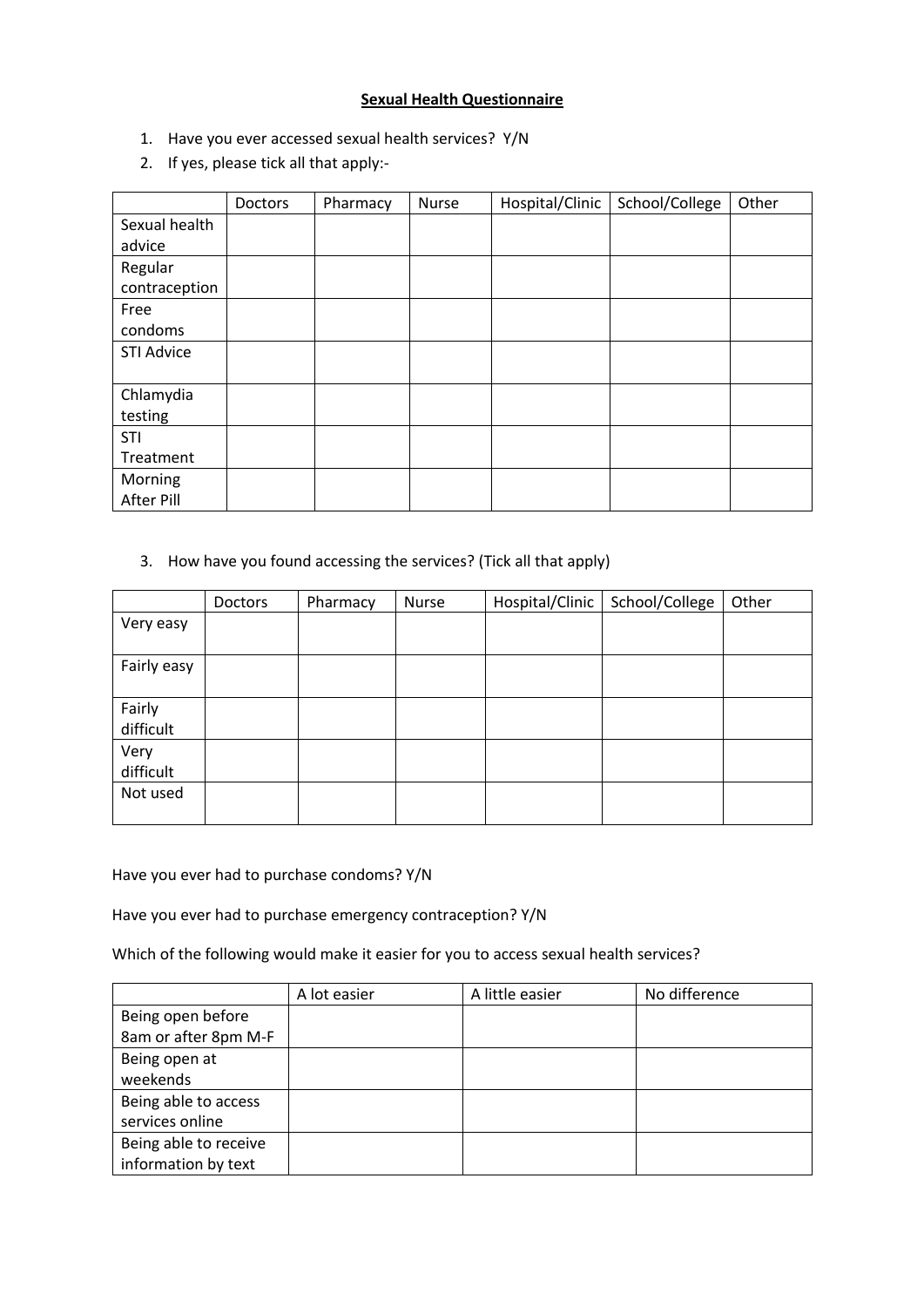## **Sexual Health Questionnaire**

- 1. Have you ever accessed sexual health services? Y/N
- 2. If yes, please tick all that apply:-

|                   | Doctors | Pharmacy | Nurse | Hospital/Clinic | School/College | Other |
|-------------------|---------|----------|-------|-----------------|----------------|-------|
| Sexual health     |         |          |       |                 |                |       |
| advice            |         |          |       |                 |                |       |
| Regular           |         |          |       |                 |                |       |
| contraception     |         |          |       |                 |                |       |
| Free              |         |          |       |                 |                |       |
| condoms           |         |          |       |                 |                |       |
| <b>STI Advice</b> |         |          |       |                 |                |       |
|                   |         |          |       |                 |                |       |
| Chlamydia         |         |          |       |                 |                |       |
| testing           |         |          |       |                 |                |       |
| <b>STI</b>        |         |          |       |                 |                |       |
| Treatment         |         |          |       |                 |                |       |
| Morning           |         |          |       |                 |                |       |
| After Pill        |         |          |       |                 |                |       |

## 3. How have you found accessing the services? (Tick all that apply)

|                     | Doctors | Pharmacy | Nurse | Hospital/Clinic | School/College | Other |
|---------------------|---------|----------|-------|-----------------|----------------|-------|
| Very easy           |         |          |       |                 |                |       |
|                     |         |          |       |                 |                |       |
| Fairly easy         |         |          |       |                 |                |       |
| Fairly<br>difficult |         |          |       |                 |                |       |
| Very<br>difficult   |         |          |       |                 |                |       |
| Not used            |         |          |       |                 |                |       |

Have you ever had to purchase condoms? Y/N

Have you ever had to purchase emergency contraception? Y/N

Which of the following would make it easier for you to access sexual health services?

|                       | A lot easier | A little easier | No difference |
|-----------------------|--------------|-----------------|---------------|
| Being open before     |              |                 |               |
| 8am or after 8pm M-F  |              |                 |               |
| Being open at         |              |                 |               |
| weekends              |              |                 |               |
| Being able to access  |              |                 |               |
| services online       |              |                 |               |
| Being able to receive |              |                 |               |
| information by text   |              |                 |               |